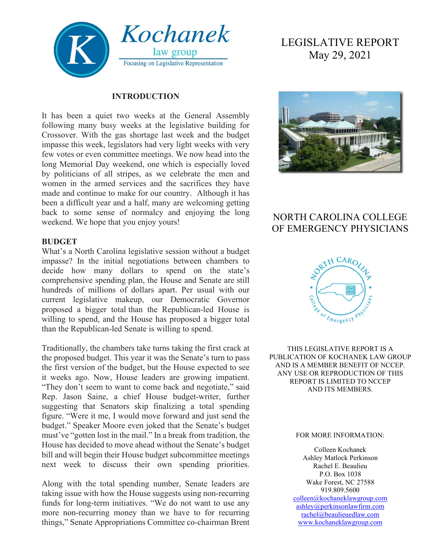

#### **INTRODUCTION**

It has been a quiet two weeks at the General Assembly following many busy weeks at the legislative building for Crossover. With the gas shortage last week and the budget impasse this week, legislators had very light weeks with very few votes or even committee meetings. We now head into the long Memorial Day weekend, one which is especially loved by politicians of all stripes, as we celebrate the men and women in the armed services and the sacrifices they have made and continue to make for our country. Although it has been a difficult year and a half, many are welcoming getting back to some sense of normalcy and enjoying the long weekend. We hope that you enjoy yours!

#### **BUDGET**

What's a North Carolina legislative session without a budget impasse? In the initial negotiations between chambers to decide how many dollars to spend on the state's comprehensive spending plan, the House and Senate are still hundreds of millions of dollars apart. Per usual with our current legislative makeup, our Democratic Governor proposed a bigger total than the Republican-led House is willing to spend, and the House has proposed a bigger total than the Republican-led Senate is willing to spend.

Traditionally, the chambers take turns taking the first crack at the proposed budget. This year it was the Senate's turn to pass the first version of the budget, but the House expected to see it weeks ago. Now, House leaders are growing impatient. "They don't seem to want to come back and negotiate," said Rep. Jason Saine, a chief House budget-writer, further suggesting that Senators skip finalizing a total spending figure. "Were it me, I would move forward and just send the budget." Speaker Moore even joked that the Senate's budget must've "gotten lost in the mail." In a break from tradition, the House has decided to move ahead without the Senate's budget bill and will begin their House budget subcommittee meetings next week to discuss their own spending priorities.

Along with the total spending number, Senate leaders are taking issue with how the House suggests using non-recurring funds for long-term initiatives. "We do not want to use any more non-recurring money than we have to for recurring things," Senate Appropriations Committee co-chairman Brent

# LEGISLATIVE REPORT May 29, 2021



## NORTH CAROLINA COLLEGE OF EMERGENCY PHYSICIANS



THIS LEGISLATIVE REPORT IS A PUBLICATION OF KOCHANEK LAW GROUP AND IS A MEMBER BENEFIT OF NCCEP. ANY USE OR REPRODUCTION OF THIS REPORT IS LIMITED TO NCCEP AND ITS MEMBERS.

#### FOR MORE INFORMATION:

Colleen Kochanek Ashley Matlock Perkinson Rachel E. Beaulieu P.O. Box 1038 Wake Forest, NC 27588 919.809.5600 [colleen@kochaneklawgroup.com](mailto:colleen@kochaneklawgroup.com) [ashley@perkinsonlawfirm.com](mailto:ashley@perkinsonlawfirm.com)

[rachel@beaulieuedlaw.com](mailto:rachel@beaulieuedlaw.com) [www.kochaneklawgroup.com](http://www.kochaneklawgroup.com/)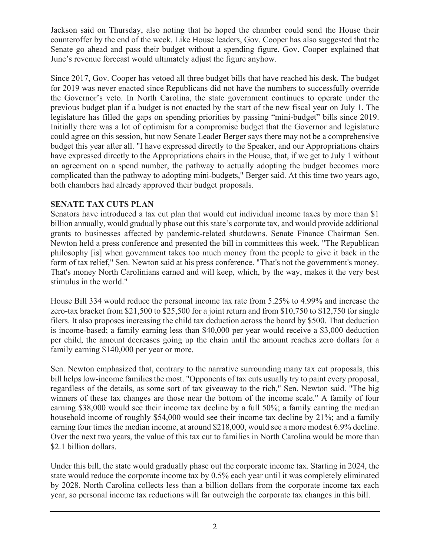Jackson said on Thursday, also noting that he hoped the chamber could send the House their counteroffer by the end of the week. Like House leaders, Gov. Cooper has also suggested that the Senate go ahead and pass their budget without a spending figure. Gov. Cooper explained that June's revenue forecast would ultimately adjust the figure anyhow.

Since 2017, Gov. Cooper has vetoed all three budget bills that have reached his desk. The budget for 2019 was never enacted since Republicans did not have the numbers to successfully override the Governor's veto. In North Carolina, the state government continues to operate under the previous budget plan if a budget is not enacted by the start of the new fiscal year on July 1. The legislature has filled the gaps on spending priorities by passing "mini-budget" bills since 2019. Initially there was a lot of optimism for a compromise budget that the Governor and legislature could agree on this session, but now Senate Leader Berger says there may not be a comprehensive budget this year after all. "I have expressed directly to the Speaker, and our Appropriations chairs have expressed directly to the Appropriations chairs in the House, that, if we get to July 1 without an agreement on a spend number, the pathway to actually adopting the budget becomes more complicated than the pathway to adopting mini-budgets," Berger said. At this time two years ago, both chambers had already approved their budget proposals.

#### **SENATE TAX CUTS PLAN**

Senators have introduced a tax cut plan that would cut individual income taxes by more than \$1 billion annually, would gradually phase out this state's corporate tax, and would provide additional grants to businesses affected by pandemic-related shutdowns. Senate Finance Chairman Sen. Newton held a press conference and presented the bill in committees this week. "The Republican philosophy [is] when government takes too much money from the people to give it back in the form of tax relief," Sen. Newton said at his press conference. "That's not the government's money. That's money North Carolinians earned and will keep, which, by the way, makes it the very best stimulus in the world."

House Bill 334 would reduce the personal income tax rate from 5.25% to 4.99% and increase the zero-tax bracket from \$21,500 to \$25,500 for a joint return and from \$10,750 to \$12,750 for single filers. It also proposes increasing the child tax deduction across the board by \$500. That deduction is income-based; a family earning less than \$40,000 per year would receive a \$3,000 deduction per child, the amount decreases going up the chain until the amount reaches zero dollars for a family earning \$140,000 per year or more.

Sen. Newton emphasized that, contrary to the narrative surrounding many tax cut proposals, this bill helps low-income families the most. "Opponents of tax cuts usually try to paint every proposal, regardless of the details, as some sort of tax giveaway to the rich," Sen. Newton said. "The big winners of these tax changes are those near the bottom of the income scale." A family of four earning \$38,000 would see their income tax decline by a full 50%; a family earning the median household income of roughly \$54,000 would see their income tax decline by 21%; and a family earning four times the median income, at around \$218,000, would see a more modest 6.9% decline. Over the next two years, the value of this tax cut to families in North Carolina would be more than \$2.1 billion dollars.

Under this bill, the state would gradually phase out the corporate income tax. Starting in 2024, the state would reduce the corporate income tax by 0.5% each year until it was completely eliminated by 2028. North Carolina collects less than a billion dollars from the corporate income tax each year, so personal income tax reductions will far outweigh the corporate tax changes in this bill.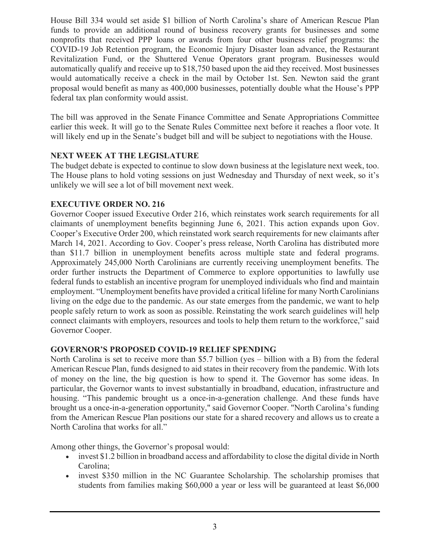House Bill 334 would set aside \$1 billion of North Carolina's share of American Rescue Plan funds to provide an additional round of business recovery grants for businesses and some nonprofits that received PPP loans or awards from four other business relief programs: the COVID-19 Job Retention program, the Economic Injury Disaster loan advance, the Restaurant Revitalization Fund, or the Shuttered Venue Operators grant program. Businesses would automatically qualify and receive up to \$18,750 based upon the aid they received. Most businesses would automatically receive a check in the mail by October 1st. Sen. Newton said the grant proposal would benefit as many as 400,000 businesses, potentially double what the House's PPP federal tax plan conformity would assist.

The bill was approved in the Senate Finance Committee and Senate Appropriations Committee earlier this week. It will go to the Senate Rules Committee next before it reaches a floor vote. It will likely end up in the Senate's budget bill and will be subject to negotiations with the House.

#### **NEXT WEEK AT THE LEGISLATURE**

The budget debate is expected to continue to slow down business at the legislature next week, too. The House plans to hold voting sessions on just Wednesday and Thursday of next week, so it's unlikely we will see a lot of bill movement next week.

### **EXECUTIVE ORDER NO. 216**

Governor Cooper issued Executive Order 216, which reinstates work search requirements for all claimants of unemployment benefits beginning June 6, 2021. This action expands upon Gov. Cooper's Executive Order 200, which reinstated work search requirements for new claimants after March 14, 2021. According to Gov. Cooper's press release, North Carolina has distributed more than \$11.7 billion in unemployment benefits across multiple state and federal programs. Approximately 245,000 North Carolinians are currently receiving unemployment benefits. The order further instructs the Department of Commerce to explore opportunities to lawfully use federal funds to establish an incentive program for unemployed individuals who find and maintain employment. "Unemployment benefits have provided a critical lifeline for many North Carolinians living on the edge due to the pandemic. As our state emerges from the pandemic, we want to help people safely return to work as soon as possible. Reinstating the work search guidelines will help connect claimants with employers, resources and tools to help them return to the workforce," said Governor Cooper.

#### **GOVERNOR'S PROPOSED COVID-19 RELIEF SPENDING**

North Carolina is set to receive more than \$5.7 billion (yes – billion with a B) from the federal American Rescue Plan, funds designed to aid states in their recovery from the pandemic. With lots of money on the line, the big question is how to spend it. The Governor has some ideas. In particular, the Governor wants to invest substantially in broadband, education, infrastructure and housing. "This pandemic brought us a once-in-a-generation challenge. And these funds have brought us a once-in-a-generation opportunity," said Governor Cooper. "North Carolina's funding from the American Rescue Plan positions our state for a shared recovery and allows us to create a North Carolina that works for all."

Among other things, the Governor's proposal would:

- invest \$1.2 billion in broadband access and affordability to close the digital divide in North Carolina;
- invest \$350 million in the NC Guarantee Scholarship. The scholarship promises that students from families making \$60,000 a year or less will be guaranteed at least \$6,000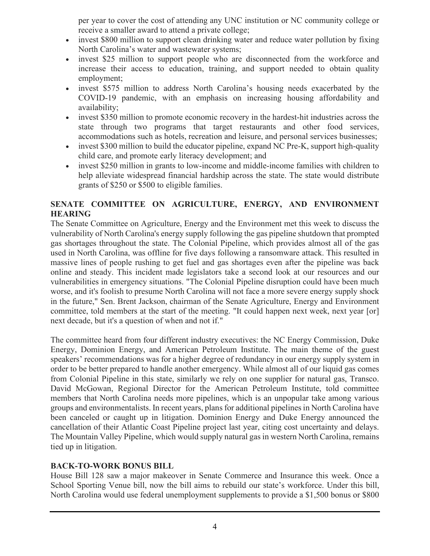per year to cover the cost of attending any UNC institution or NC community college or receive a smaller award to attend a private college;

- invest \$800 million to support clean drinking water and reduce water pollution by fixing North Carolina's water and wastewater systems;
- invest \$25 million to support people who are disconnected from the workforce and increase their access to education, training, and support needed to obtain quality employment;
- invest \$575 million to address North Carolina's housing needs exacerbated by the COVID-19 pandemic, with an emphasis on increasing housing affordability and availability;
- invest \$350 million to promote economic recovery in the hardest-hit industries across the state through two programs that target restaurants and other food services, accommodations such as hotels, recreation and leisure, and personal services businesses;
- invest \$300 million to build the educator pipeline, expand NC Pre-K, support high-quality child care, and promote early literacy development; and
- invest \$250 million in grants to low-income and middle-income families with children to help alleviate widespread financial hardship across the state. The state would distribute grants of \$250 or \$500 to eligible families.

### **SENATE COMMITTEE ON AGRICULTURE, ENERGY, AND ENVIRONMENT HEARING**

The Senate Committee on Agriculture, Energy and the Environment met this week to discuss the vulnerability of North Carolina's energy supply following the gas pipeline shutdown that prompted gas shortages throughout the state. The Colonial Pipeline, which provides almost all of the gas used in North Carolina, was offline for five days following a ransomware attack. This resulted in massive lines of people rushing to get fuel and gas shortages even after the pipeline was back online and steady. This incident made legislators take a second look at our resources and our vulnerabilities in emergency situations. "The Colonial Pipeline disruption could have been much worse, and it's foolish to presume North Carolina will not face a more severe energy supply shock in the future," Sen. Brent Jackson, chairman of the Senate Agriculture, Energy and Environment committee, told members at the start of the meeting. "It could happen next week, next year [or] next decade, but it's a question of when and not if."

The committee heard from four different industry executives: the NC Energy Commission, Duke Energy, Dominion Energy, and American Petroleum Institute. The main theme of the guest speakers' recommendations was for a higher degree of redundancy in our energy supply system in order to be better prepared to handle another emergency. While almost all of our liquid gas comes from Colonial Pipeline in this state, similarly we rely on one supplier for natural gas, Transco. David McGowan, Regional Director for the American Petroleum Institute, told committee members that North Carolina needs more pipelines, which is an unpopular take among various groups and environmentalists. In recent years, plans for additional pipelines in North Carolina have been canceled or caught up in litigation. Dominion Energy and Duke Energy announced the cancellation of their Atlantic Coast Pipeline project last year, citing cost uncertainty and delays. The Mountain Valley Pipeline, which would supply natural gas in western North Carolina, remains tied up in litigation.

### **BACK-TO-WORK BONUS BILL**

House Bill 128 saw a major makeover in Senate Commerce and Insurance this week. Once a School Sporting Venue bill, now the bill aims to rebuild our state's workforce. Under this bill, North Carolina would use federal unemployment supplements to provide a \$1,500 bonus or \$800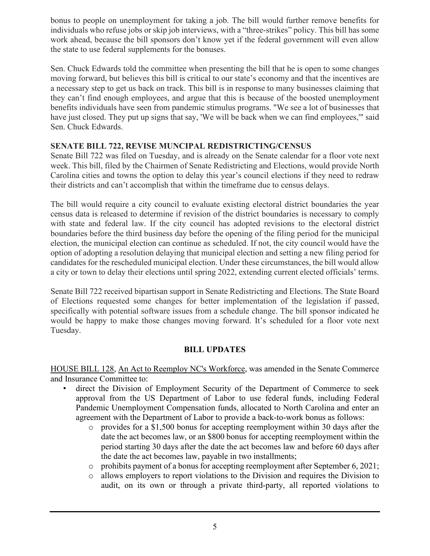bonus to people on unemployment for taking a job. The bill would further remove benefits for individuals who refuse jobs or skip job interviews, with a "three-strikes" policy. This bill has some work ahead, because the bill sponsors don't know yet if the federal government will even allow the state to use federal supplements for the bonuses.

Sen. Chuck Edwards told the committee when presenting the bill that he is open to some changes moving forward, but believes this bill is critical to our state's economy and that the incentives are a necessary step to get us back on track. This bill is in response to many businesses claiming that they can't find enough employees, and argue that this is because of the boosted unemployment benefits individuals have seen from pandemic stimulus programs. "We see a lot of businesses that have just closed. They put up signs that say, 'We will be back when we can find employees,'" said Sen. Chuck Edwards.

#### **SENATE BILL 722, REVISE MUNCIPAL REDISTRICTING/CENSUS**

Senate Bill 722 was filed on Tuesday, and is already on the Senate calendar for a floor vote next week. This bill, filed by the Chairmen of Senate Redistricting and Elections, would provide North Carolina cities and towns the option to delay this year's council elections if they need to redraw their districts and can't accomplish that within the timeframe due to census delays.

The bill would require a city council to evaluate existing electoral district boundaries the year census data is released to determine if revision of the district boundaries is necessary to comply with state and federal law. If the city council has adopted revisions to the electoral district boundaries before the third business day before the opening of the filing period for the municipal election, the municipal election can continue as scheduled. If not, the city council would have the option of adopting a resolution delaying that municipal election and setting a new filing period for candidates for the rescheduled municipal election. Under these circumstances, the bill would allow a city or town to delay their elections until spring 2022, extending current elected officials' terms.

Senate Bill 722 received bipartisan support in Senate Redistricting and Elections. The State Board of Elections requested some changes for better implementation of the legislation if passed, specifically with potential software issues from a schedule change. The bill sponsor indicated he would be happy to make those changes moving forward. It's scheduled for a floor vote next Tuesday.

#### **BILL UPDATES**

HOUSE BILL 128, An Act to Reemploy NC's Workforce, was amended in the Senate Commerce and Insurance Committee to:

- direct the Division of Employment Security of the Department of Commerce to seek approval from the US Department of Labor to use federal funds, including Federal Pandemic Unemployment Compensation funds, allocated to North Carolina and enter an agreement with the Department of Labor to provide a back-to-work bonus as follows:
	- o provides for a \$1,500 bonus for accepting reemployment within 30 days after the date the act becomes law, or an \$800 bonus for accepting reemployment within the period starting 30 days after the date the act becomes law and before 60 days after the date the act becomes law, payable in two installments;
	- $\circ$  prohibits payment of a bonus for accepting reemployment after September 6, 2021;<br> $\circ$  allows employers to report violations to the Division and requires the Division to
	- o allows employers to report violations to the Division and requires the Division to audit, on its own or through a private third-party, all reported violations to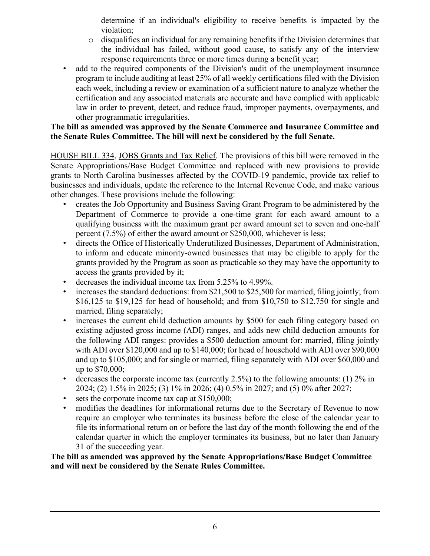determine if an individual's eligibility to receive benefits is impacted by the violation;

- $\circ$  disqualifies an individual for any remaining benefits if the Division determines that the individual has failed, without good cause, to satisfy any of the interview response requirements three or more times during a benefit year;
- add to the required components of the Division's audit of the unemployment insurance program to include auditing at least 25% of all weekly certifications filed with the Division each week, including a review or examination of a sufficient nature to analyze whether the certification and any associated materials are accurate and have complied with applicable law in order to prevent, detect, and reduce fraud, improper payments, overpayments, and other programmatic irregularities.

#### **The bill as amended was approved by the Senate Commerce and Insurance Committee and the Senate Rules Committee. The bill will next be considered by the full Senate.**

HOUSE BILL 334, JOBS Grants and Tax Relief. The provisions of this bill were removed in the Senate Appropriations/Base Budget Committee and replaced with new provisions to provide grants to North Carolina businesses affected by the COVID-19 pandemic, provide tax relief to businesses and individuals, update the reference to the Internal Revenue Code, and make various other changes. These provisions include the following:

- creates the Job Opportunity and Business Saving Grant Program to be administered by the Department of Commerce to provide a one-time grant for each award amount to a qualifying business with the maximum grant per award amount set to seven and one-half percent (7.5%) of either the award amount or \$250,000, whichever is less;
- directs the Office of Historically Underutilized Businesses, Department of Administration, to inform and educate minority-owned businesses that may be eligible to apply for the grants provided by the Program as soon as practicable so they may have the opportunity to access the grants provided by it;
- decreases the individual income tax from 5.25% to 4.99%.
- increases the standard deductions: from \$21,500 to \$25,500 for married, filing jointly; from \$16,125 to \$19,125 for head of household; and from \$10,750 to \$12,750 for single and married, filing separately;
- increases the current child deduction amounts by \$500 for each filing category based on existing adjusted gross income (ADI) ranges, and adds new child deduction amounts for the following ADI ranges: provides a \$500 deduction amount for: married, filing jointly with ADI over \$120,000 and up to \$140,000; for head of household with ADI over \$90,000 and up to \$105,000; and for single or married, filing separately with ADI over \$60,000 and up to \$70,000;
- decreases the corporate income tax (currently 2.5%) to the following amounts: (1)  $2\%$  in 2024; (2) 1.5% in 2025; (3) 1% in 2026; (4) 0.5% in 2027; and (5) 0% after 2027;
- sets the corporate income tax cap at \$150,000;
- modifies the deadlines for informational returns due to the Secretary of Revenue to now require an employer who terminates its business before the close of the calendar year to file its informational return on or before the last day of the month following the end of the calendar quarter in which the employer terminates its business, but no later than January 31 of the succeeding year.

**The bill as amended was approved by the Senate Appropriations/Base Budget Committee and will next be considered by the Senate Rules Committee.**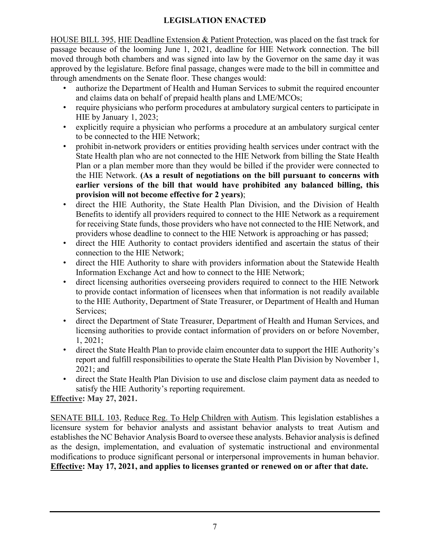## **LEGISLATION ENACTED**

HOUSE BILL 395, HIE Deadline Extension & Patient Protection, was placed on the fast track for passage because of the looming June 1, 2021, deadline for HIE Network connection. The bill moved through both chambers and was signed into law by the Governor on the same day it was approved by the legislature. Before final passage, changes were made to the bill in committee and through amendments on the Senate floor. These changes would:

- authorize the Department of Health and Human Services to submit the required encounter and claims data on behalf of prepaid health plans and LME/MCOs;
- require physicians who perform procedures at ambulatory surgical centers to participate in HIE by January 1, 2023;
- explicitly require a physician who performs a procedure at an ambulatory surgical center to be connected to the HIE Network;
- prohibit in-network providers or entities providing health services under contract with the State Health plan who are not connected to the HIE Network from billing the State Health Plan or a plan member more than they would be billed if the provider were connected to the HIE Network. **(As a result of negotiations on the bill pursuant to concerns with earlier versions of the bill that would have prohibited any balanced billing, this provision will not become effective for 2 years)**;
- direct the HIE Authority, the State Health Plan Division, and the Division of Health Benefits to identify all providers required to connect to the HIE Network as a requirement for receiving State funds, those providers who have not connected to the HIE Network, and providers whose deadline to connect to the HIE Network is approaching or has passed;
- direct the HIE Authority to contact providers identified and ascertain the status of their connection to the HIE Network;
- direct the HIE Authority to share with providers information about the Statewide Health Information Exchange Act and how to connect to the HIE Network;
- direct licensing authorities overseeing providers required to connect to the HIE Network to provide contact information of licensees when that information is not readily available to the HIE Authority, Department of State Treasurer, or Department of Health and Human Services;
- direct the Department of State Treasurer, Department of Health and Human Services, and licensing authorities to provide contact information of providers on or before November, 1, 2021;
- direct the State Health Plan to provide claim encounter data to support the HIE Authority's report and fulfill responsibilities to operate the State Health Plan Division by November 1, 2021; and
- direct the State Health Plan Division to use and disclose claim payment data as needed to satisfy the HIE Authority's reporting requirement.

**Effective: May 27, 2021.**

SENATE BILL 103, Reduce Reg. To Help Children with Autism. This legislation establishes a licensure system for behavior analysts and assistant behavior analysts to treat Autism and establishes the NC Behavior Analysis Board to oversee these analysts. Behavior analysis is defined as the design, implementation, and evaluation of systematic instructional and environmental modifications to produce significant personal or interpersonal improvements in human behavior. **Effective: May 17, 2021, and applies to licenses granted or renewed on or after that date.**